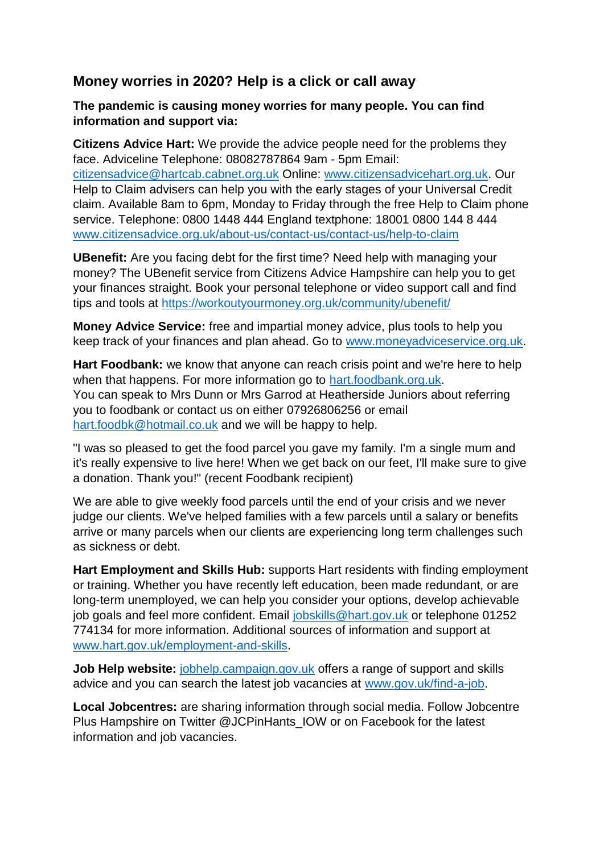## **Money worries in 2020? Help is a click or call away**

## **The pandemic is causing money worries for many people. You can find information and support via:**

**Citizens Advice Hart:** We provide the advice people need for the problems they face. Adviceline Telephone: 08082787864 9am - 5pm Email: [citizensadvice@hartcab.cabnet.org.uk](mailto:citizensadvice@hartcab.cabnet.org.uk) Online: [www.citizensadvicehart.org.uk.](http://www.citizensadvicehart.org.uk/) Our Help to Claim advisers can help you with the early stages of your Universal Credit claim. Available 8am to 6pm, Monday to Friday through the free Help to Claim phone service. Telephone: 0800 1448 444 England textphone: 18001 0800 144 8 444 [www.citizensadvice.org.uk/about-us/contact-us/contact-us/help-to-claim](https://www.citizensadvice.org.uk/about-us/contact-us/contact-us/help-to-claim/)

**UBenefit:** Are you facing debt for the first time? Need help with managing your money? The UBenefit service from Citizens Advice Hampshire can help you to get your finances straight. Book your personal telephone or video support call and find tips and tools at<https://workoutyourmoney.org.uk/community/ubenefit/>

**Money Advice Service:** free and impartial money advice, plus tools to help you keep track of your finances and plan ahead. Go to [www.moneyadviceservice.org.uk.](http://www.moneyadviceservice.org.uk/)

**Hart Foodbank:** we know that anyone can reach crisis point and we're here to help when that happens. For more information go to [hart.foodbank.org.uk.](https://hart.foodbank.org.uk/) You can speak to Mrs Dunn or Mrs Garrod at Heatherside Juniors about referring you to foodbank or contact us on either 07926806256 or email [hart.foodbk@hotmail.co.uk](mailto:hart.foodbk@hotmail.co.uk) and we will be happy to help.

"I was so pleased to get the food parcel you gave my family. I'm a single mum and it's really expensive to live here! When we get back on our feet, I'll make sure to give a donation. Thank you!" (recent Foodbank recipient)

We are able to give weekly food parcels until the end of your crisis and we never judge our clients. We've helped families with a few parcels until a salary or benefits arrive or many parcels when our clients are experiencing long term challenges such as sickness or debt.

**Hart Employment and Skills Hub:** supports Hart residents with finding employment or training. Whether you have recently left education, been made redundant, or are long-term unemployed, we can help you consider your options, develop achievable job goals and feel more confident. Email [jobskills@hart.gov.uk](mailto:jobskills@hart.gov.uk) or telephone 01252 774134 for more information. Additional sources of information and support at [www.hart.gov.uk/employment-and-skills.](http://www.hart.gov.uk/employment-and-skills)

**Job Help website:** [jobhelp.campaign.gov.uk](https://jobhelp.campaign.gov.uk/) offers a range of support and skills advice and you can search the latest job vacancies at [www.gov.uk/find-a-job.](https://www.gov.uk/find-a-job)

**Local Jobcentres:** are sharing information through social media. Follow Jobcentre Plus Hampshire on Twitter @JCPinHants\_IOW or on Facebook for the latest information and job vacancies.